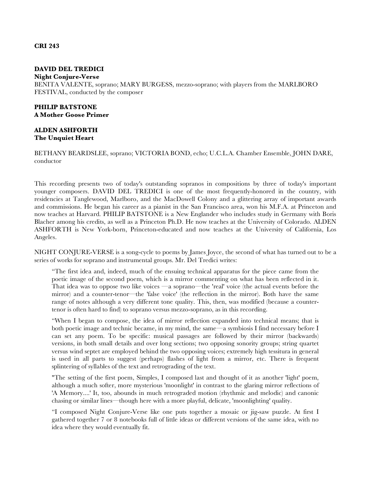### **CRI 243**

# **DAVID DEL TREDICI**

#### **Night Conjure-Verse**

BENITA VALENTE, soprano; MARY BURGESS, mezzo-soprano; with players from the MARLBORO FESTIVAL, conducted by the composer

# **PHILIP BATSTONE A Mother Goose Primer**

# **ALDEN ASHFORTH The Unquiet Heart**

BETHANY BEARDSLEE, soprano; VICTORIA BOND, echo; U.C.L.A. Chamber Ensemble, JOHN DARE, conductor

This recording presents two of today's outstanding sopranos in compositions by three of today's important younger composers. DAVID DEL TREDICI is one of the most frequently-honored in the country, with residencies at Tanglewood, Marlboro, and the MacDowell Colony and a glittering array of important awards and commissions. He began his career as a pianist in the San Francisco area, won his M.F.A. at Princeton and now teaches at Harvard. PHILIP BATSTONE is a New Englander who includes study in Germany with Boris Blacher among his credits, as well as a Princeton Ph.D. He now teaches at the University of Colorado. ALDEN ASHFORTH is New York-born, Princeton-educated and now teaches at the University of California, Los Angeles.

NIGHT CONJURE-VERSE is a song-cycle to poems by James Joyce, the second of what has turned out to be a series of works for soprano and instrumental groups. Mr. Del Tredici writes:

"The first idea and, indeed, much of the ensuing technical apparatus for the piece came from the poetic image of the second poem, which is a mirror commenting on what has been reflected in it. That idea was to oppose two like voices —a soprano—the 'real' voice (the actual events before the mirror) and a counter-tenor—the 'false voice' (the reflection in the mirror). Both have the same range of notes although a very different tone quality. This, then, was modified (because a countertenor is often hard to find) to soprano versus mezzo-soprano, as in this recording.

"When I began to compose, the idea of mirror reflection expanded into technical means; that is both poetic image and technic became, in my mind, the same—a symbiosis I find necessary before I can set any poem. To be specific: musical passages are followed by their mirror (backwards) versions, in both small details and over long sections; two opposing sonority groups; string quartet versus wind septet are employed behind the two opposing voices; extremely high tessitura in general is used in all parts to suggest (perhaps) flashes of light from a mirror, etc. There is frequent splintering of syllables of the text and retrograding of the text.

"The setting of the first poem, Simples, I composed last and thought of it as another 'light' poem, although a much softer, more mysterious 'moonlight' in contrast to the glaring mirror reflections of 'A Memory....' It, too, abounds in much retrograded motion (rhythmic and melodic) and canonic chasing or similar lines—though here with a more playful, delicate, 'moonlighting' quality.

"I composed Night Conjure-Verse like one puts together a mosaic or jig-saw puzzle. At first I gathered together 7 or 8 notebooks full of little ideas or different versions of the same idea, with no idea where they would eventually fit.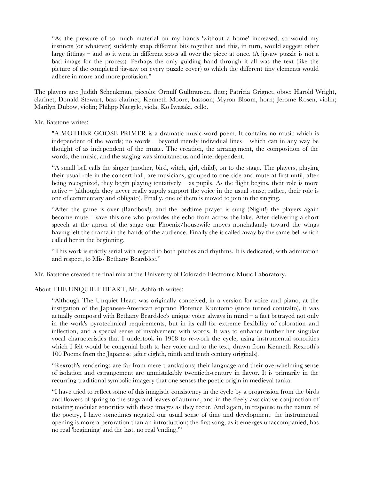"As the pressure of so much material on my hands 'without a home' increased, so would my instincts (or whatever) suddenly snap different bits together and this, in turn, would suggest other large fittings – and so it went in different spots all over the piece at once. (A jigsaw puzzle is not a bad image for the process). Perhaps the only guiding hand through it all was the text (like the picture of the completed jig-saw on every puzzle cover) to which the different tiny elements would adhere in more and more profusion."

The players are: Judith Schenkman, piccolo; Ornulf Gulbransen, flute; Patricia Grignet, oboe; Harold Wright, clarinet; Donald Stewart, bass clarinet; Kenneth Moore, bassoon; Myron Bloom, horn; Jerome Rosen, violin; Marilyn Dubow, violin; Philipp Naegele, viola; Ko Iwasaki, cello.

Mr. Batstone writes:

"A MOTHER GOOSE PRIMER is a dramatic music-word poem. It contains no music which is independent of the words; no words – beyond merely individual lines – which can in any way be thought of as independent of the music. The creation, the arrangement, the composition of the words, the music, and the staging was simultaneous and interdependent.

"A small bell calls the singer (mother, bird, witch, girl, child), on to the stage. The players, playing their usual role in the concert hall, are musicians, grouped to one side and mute at first until, after being recognized, they begin playing tentatively – as pupils. As the flight begins, their role is more active  $-$  (although they never really supply support the voice in the usual sense; rather, their role is one of commentary and obligato). Finally, one of them is moved to join in the singing.

"After the game is over (Bandbox!), and the bedtime prayer is sung (Night!) the players again become mute – save this one who provides the echo from across the lake. After delivering a short speech at the apron of the stage our Phoenix/housewife moves nonchalantly toward the wings having left the drama in the hands of the audience. Finally she is called away by the same bell which called her in the beginning.

"This work is strictly serial with regard to both pitches and rhythms. It is dedicated, with admiration and respect, to Miss Bethany Beardslee."

Mr. Batstone created the final mix at the University of Colorado Electronic Music Laboratory.

# About THE UNQUIET HEART, Mr. Ashforth writes:

"Although The Unquiet Heart was originally conceived, in a version for voice and piano, at the instigation of the Japanese-American soprano Florence Kunitomo (since turned contralto), it was actually composed with Bethany Beardslee's unique voice always in mind  $-$  a fact betrayed not only in the work's pyrotechnical requirements, but in its call for extreme flexibility of coloration and inflection, and a special sense of involvement with words. It was to enhance further her singular vocal characteristics that I undertook in 1968 to re-work the cycle, using instrumental sonorities which I felt would be congenial both to her voice and to the text, drawn from Kenneth Rexroth's 100 Poems from the Japanese (after eighth, ninth and tenth century originals).

"Rexroth's renderings are far from mere translations; their language and their overwhelming sense of isolation and estrangement are unmistakably twentieth-century in flavor. It is primarily in the recurring traditional symbolic imagery that one senses the poetic origin in medieval tanka.

"I have tried to reflect some of this imagistic consistency in the cycle by a progression from the birds and flowers of spring to the stags and leaves of autumn, and in the freely associative conjunction of rotating modular sonorities with these images as they recur. And again, in response to the nature of the poetry, I have sometimes negated our usual sense of time and development: the instrumental opening is more a peroration than an introduction; the first song, as it emerges unaccompanied, has no real 'beginning' and the last, no real 'ending.'"